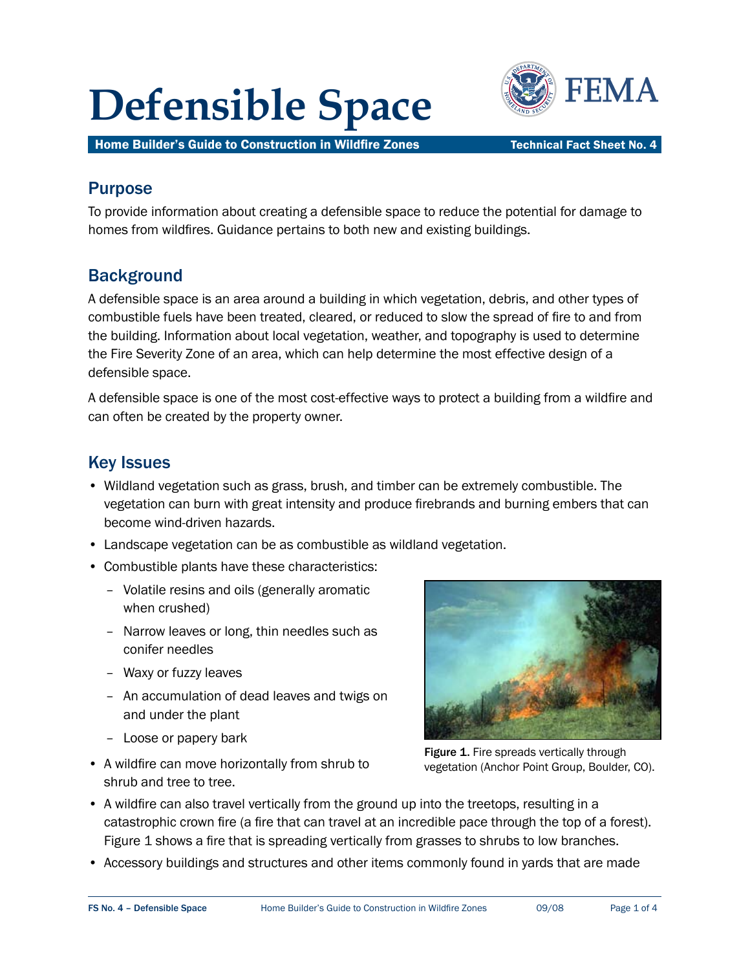# **Defensible Space WE FEMA**



Home Builder's Guide to Construction in Wildfire Zones Technical Fact Sheet No. 4

## Purpose

 To provide information about creating a defensible space to reduce the potential for damage to homes from wildfires. Guidance pertains to both new and existing buildings.

## **Background**

 A defensible space is an area around a building in which vegetation, debris, and other types of combustible fuels have been treated, cleared, or reduced to slow the spread of fire to and from the building. Information about local vegetation, weather, and topography is used to determine the Fire Severity Zone of an area, which can help determine the most effective design of a defensible space.

 A defensible space is one of the most cost-effective ways to protect a building from a wildfire and can often be created by the property owner.

## Key Issues

- Wildland vegetation such as grass, brush, and timber can be extremely combustible. The vegetation can burn with great intensity and produce firebrands and burning embers that can become wind-driven hazards.
- Landscape vegetation can be as combustible as wildland vegetation.
- Combustible plants have these characteristics:
	- Volatile resins and oils (generally aromatic when crushed)
	- Narrow leaves or long, thin needles such as conifer needles
	- Waxy or fuzzy leaves
	- An accumulation of dead leaves and twigs on and under the plant
	- Loose or papery bark
- A wildfire can move horizontally from shrub to shrub and tree to tree.



Figure 1. Fire spreads vertically through vegetation (Anchor Point Group, Boulder, CO).

- A wildfire can also travel vertically from the ground up into the treetops, resulting in a catastrophic crown fire (a fire that can travel at an incredible pace through the top of a forest). Figure 1 shows a fire that is spreading vertically from grasses to shrubs to low branches.
- Accessory buildings and structures and other items commonly found in yards that are made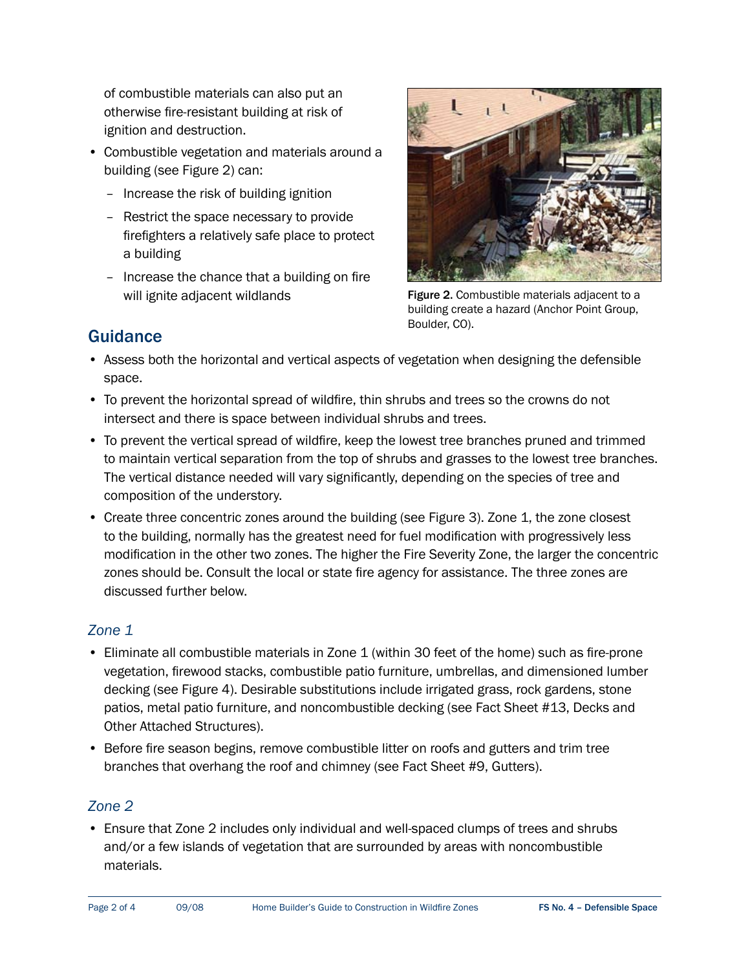of combustible materials can also put an otherwise fire-resistant building at risk of ignition and destruction.

- Combustible vegetation and materials around a building (see Figure 2) can:
	- Increase the risk of building ignition
	- Restrict the space necessary to provide firefighters a relatively safe place to protect a building
	- Increase the chance that a building on fire will ignite adjacent wildlands



Figure 2. Combustible materials adjacent to a building create a hazard (Anchor Point Group, Boulder, CO).

## **Guidance**

- Assess both the horizontal and vertical aspects of vegetation when designing the defensible space.
- To prevent the horizontal spread of wildfire, thin shrubs and trees so the crowns do not intersect and there is space between individual shrubs and trees.
- To prevent the vertical spread of wildfire, keep the lowest tree branches pruned and trimmed to maintain vertical separation from the top of shrubs and grasses to the lowest tree branches. The vertical distance needed will vary significantly, depending on the species of tree and composition of the understory.
- Create three concentric zones around the building (see Figure 3). Zone 1, the zone closest to the building, normally has the greatest need for fuel modification with progressively less modification in the other two zones. The higher the Fire Severity Zone, the larger the concentric zones should be. Consult the local or state fire agency for assistance. The three zones are discussed further below.

#### *Zone 1*

- Eliminate all combustible materials in Zone 1 (within 30 feet of the home) such as fire-prone vegetation, firewood stacks, combustible patio furniture, umbrellas, and dimensioned lumber decking (see Figure 4). Desirable substitutions include irrigated grass, rock gardens, stone patios, metal patio furniture, and noncombustible decking (see Fact Sheet #13, Decks and Other Attached Structures).
- Before fire season begins, remove combustible litter on roofs and gutters and trim tree branches that overhang the roof and chimney (see Fact Sheet #9, Gutters).

#### *Zone 2*

 • Ensure that Zone 2 includes only individual and well-spaced clumps of trees and shrubs and/or a few islands of vegetation that are surrounded by areas with noncombustible materials.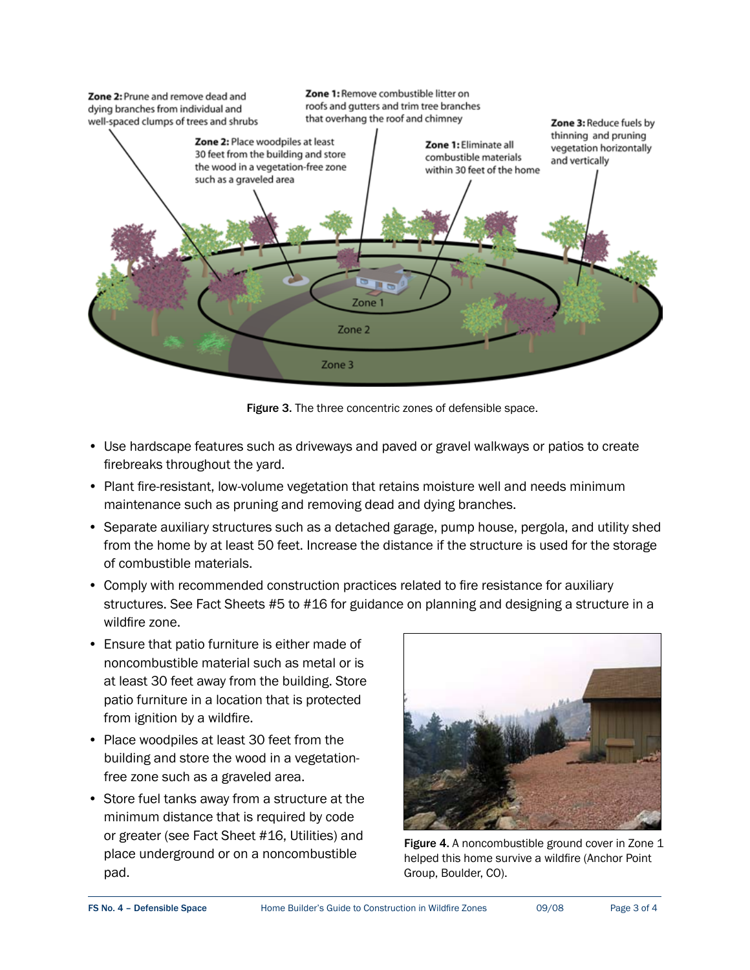

Figure 3. The three concentric zones of defensible space.

- Use hardscape features such as driveways and paved or gravel walkways or patios to create firebreaks throughout the yard.
- Plant fire-resistant, low-volume vegetation that retains moisture well and needs minimum maintenance such as pruning and removing dead and dying branches.
- Separate auxiliary structures such as a detached garage, pump house, pergola, and utility shed from the home by at least 50 feet. Increase the distance if the structure is used for the storage of combustible materials.
- Comply with recommended construction practices related to fire resistance for auxiliary structures. See Fact Sheets #5 to #16 for guidance on planning and designing a structure in a wildfire zone.
- Ensure that patio furniture is either made of noncombustible material such as metal or is at least 30 feet away from the building. Store patio furniture in a location that is protected from ignition by a wildfire.
- Place woodpiles at least 30 feet from the building and store the wood in a vegetation- free zone such as a graveled area.
- Store fuel tanks away from a structure at the minimum distance that is required by code or greater (see Fact Sheet #16, Utilities) and place underground or on a noncombustible pad.



Figure 4. A noncombustible ground cover in Zone 1 or on a noncombustible step the behavior of the Helped this home survive a wildfire (Anchor Point helped this home survive a wildfire (Anchor Point Group, Boulder, CO).